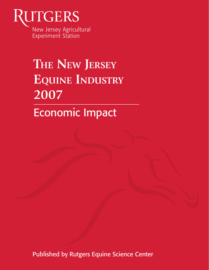

# **THE NEW JERSEY EQUINE INDUSTRY 2007**

Economic Impact

Published by Rutgers Equine Science Center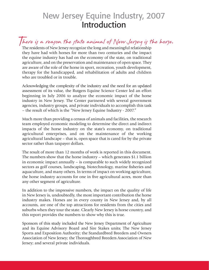## New Jersey Equine Industry, 2007 Introduction

There is a reason the state animal of New Jersey is the horse. The residents of New Jersey recognize the long and meaningful relationship they have had with horses for more than two centuries and the impact the equine industry has had on the economy of the state, on traditional agriculture, and on the preservation and maintenance of open space. They are aware of the role of the horse in sport, recreation, youth development, therapy for the handicapped, and rehabilitation of adults and children who are troubled or in trouble.

Acknowledging the complexity of the industry and the need for an updated assessment of its value, the Rutgers Equine Science Center led an effort beginning in July 2006 to analyze the economic impact of the horse industry in New Jersey. The Center partnered with several government agencies, industry groups, and private individuals to accomplish this task – the result of which is the "New Jersey Equine Industry - 2007."

Much more than providing a census of animals and facilities, the research team employed economic modeling to determine the direct and indirect impacts of the horse industry on the state's economy, on traditional agricultural enterprises, and on the maintenance of the working agricultural landscape – that is, open space that is cared for by the private sector rather than taxpayer dollars.

The result of more than 12 months of work is reported in this document. The numbers show that the horse industry – which generates \$1.1 billion in economic impact annually – is comparable to such widely recognized sectors as golf courses, landscaping, biotechnology, marine fisheries and aquaculture, and many others. In terms of impact on working agriculture, the horse industry accounts for one in five agricultural acres, more than any other segment of agriculture.

In addition to the impressive numbers, the impact on the quality of life in New Jersey is, undoubtedly, the most important contribution the horse industry makes. Horses are in every county in New Jersey and, by all accounts, are one of the top attractions for residents from the cities and suburbs when they tour the state. Clearly New Jersey is horse country, and this report provides the numbers to show why this is true.

Sponsors of this study included the New Jersey Department of Agriculture and its Equine Advisory Board and Sire Stakes units; The New Jersey Sports and Exposition Authority; the Standardbred Breeders and Owners Association of New Jersey; the Thoroughbred Breeders Association of New Jersey; and several private individuals.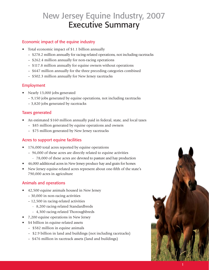## New Jersey Equine Industry, 2007 Executive Summary

#### Economic impact of the equine industry

- Total economic impact of \$1.1 billion annually
	- \$278.2 million annually for racing-related operations, not including racetracks
	- \$262.4 million annually for non-racing operations
	- \$117.8 million annually for equine owners without operations
	- \$647 million annually for the three preceding categories combined
	- \$502.3 million annually for New Jersey racetracks

#### Employment

- Nearly 13,000 jobs generated
	- 9,150 jobs generated by equine operations, not including racetracks
	- 3,820 jobs generated by racetracks

#### Taxes generated

- An estimated \$160 million annually paid in federal, state, and local taxes
	- \$85 million generated by equine operations and owners
	- \$75 million generated by New Jersey racetracks

#### Acres to support equine facilities

- 176,000 total acres reported by equine operations
	- 96,000 of these acres are directly related to equine activities
		- 78,000 of these acres are devoted to pasture and hay production
- 46,000 additional acres in New Jersey produce hay and grain for horses
- New Jersey equine-related acres represent about one-fifth of the state's 790,000 acres in agriculture

#### Animals and operations

- 42,500 equine animals housed in New Jersey
	- 30,000 in non-racing activities
	- 12,500 in racing-related activities
		- 8,200 racing-related Standardbreds
		- 4,300 racing-related Thoroughbreds
- 7,200 equine operations in New Jersey
- \$4 billion in equine-related assets
	- \$582 million in equine animals
	- \$2.9 billion in land and buildings (not including racetracks)
	- \$476 million in racetrack assets (land and buildings)

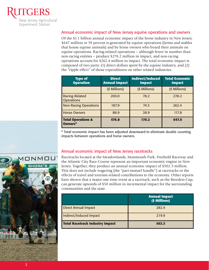

#### Annual economic impact of New Jersey equine operations and owners

Of the \$1.1 billion annual economic impact of the horse industry in New Jersey, \$647 million or 59 percent is generated by equine operations (farms and stables that house equine animals) and by horse owners who board their animals on equine operations. Racing-related operations – although fewer in number than non-racing entities – produce \$278.2 million in impact, and non-racing operations account for \$262.4 million in impact. The total economic impact is composed of two parts: (1) direct dollars spent by the equine industry, and (2) the "ripple effect" of those expenditures on other related industries.

| <b>Type of</b><br><b>Operation</b>         | <b>Direct</b><br><b>Annual Impact</b> | <b>Indirect/Induced</b><br><b>Impact</b> | <b>Total Economic</b><br><b>Impact</b> |
|--------------------------------------------|---------------------------------------|------------------------------------------|----------------------------------------|
|                                            | (\$ Millions)                         | (\$ Millions)                            | (\$ Millions)                          |
| <b>Racing-Related</b><br><b>Operations</b> | 200.0                                 | 78.2                                     | 278.2                                  |
| <b>Non-Racing Operations</b>               | 187.9                                 | 74.5                                     | 262.4                                  |
| <b>Horse Owners</b>                        | 88.9                                  | 28.9                                     | 117.8                                  |
| <b>Total Operations &amp;</b><br>Owners*   | 476.8                                 | 170.2                                    | 647.0                                  |

\* Total economic impact has been adjusted downward to eliminate double counting impacts between operations and horse owners.



#### Annual economic impact of New Jersey racetracks

Racetracks located at the Meadowlands, Monmouth Park, Freehold Raceway and the Atlantic City Race Course represent an important economic engine in New Jersey. Together, they produce an annual economic impact of \$502.3 million. This does not include wagering (the "pari-mutuel handle") at racetracks or the effects of travel and tourism-related contributions to the economy. Other reports have shown that a major one-time event at a racetrack, such as the Breeders Cup, can generate upwards of \$50 million in incremental impact for the surrounding communities and the state.

|                                        | <b>Annual Impact</b><br>(\$ Millions) |
|----------------------------------------|---------------------------------------|
| <b>Direct Annual Impact</b>            | 282.4                                 |
| Indirect/Induced Impact                | 219.9                                 |
| <b>Total Racetrack Industry Impact</b> | 502.3                                 |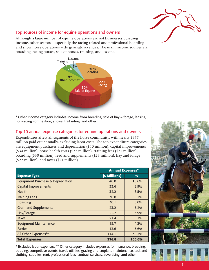

#### Top sources of income for equine operations and owners

Although a large number of equine operations are not businesses pursuing income, other sectors – especially the racing-related and professional boarding and show horse operations – do generate revenues. The main income sources are boarding, racing purses, sale of horses, training, and lessons.



\* Other Income category includes income from breeding, sale of hay & forage, leasing, non-racing competition, shows, trail riding, and other.

#### Top 10 annual expense categories for equine operations and owners

Expenditures affect all segments of the horse community, with nearly \$377 million paid out annually, excluding labor costs. The top expenditure categories are equipment purchases and depreciation (\$40 million), capital improvements (\$34 million), horse health costs (\$32 million), training fees (\$31 million), boarding (\$30 million), feed and supplements (\$23 million), hay and forage (\$22 million), and taxes (\$21 million).

|                                              | <b>Annual Expenses*</b> |               |  |
|----------------------------------------------|-------------------------|---------------|--|
| <b>Expense Type</b>                          | (\$ Millions)           | $\frac{0}{0}$ |  |
| <b>Equipment Purchase &amp; Depreciation</b> | 40.0                    | 10.6%         |  |
| <b>Capital Improvements</b>                  | 33.6                    | 8.9%          |  |
| Health                                       | 32.2                    | 8.5%          |  |
| <b>Training Fees</b>                         | 30.8                    | 8.2%          |  |
| <b>Boarding</b>                              | 30.1                    | 8.0%          |  |
| <b>Grain and Supplements</b>                 | 23.2                    | 6.2%          |  |
| Hay/Forage                                   | 22.2                    | 5.9%          |  |
| <b>Taxes</b>                                 | 21.4                    | 5.7%          |  |
| <b>Equipment Maintenance</b>                 | 15.7                    | 4.2%          |  |
| <b>Farrier</b>                               | 13.6                    | 3.6%          |  |
| All Other Expenses**                         | 114.1                   | 30.3%         |  |
| <b>Total Expenses</b>                        | 376.8                   | 100.0%        |  |

\* Excludes labor expenses. \*\* Other category includes expenses for insurance, breeding, bedding, competitive events, travel, utilities, grazing and cropland maintenance, tack and clothing, supplies, rent, professional fees, contract services, advertising, and other.

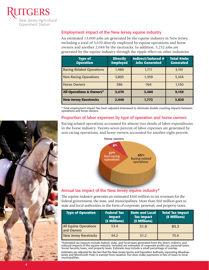

### Employment impact of the New Jersey equine industry

An estimated 13,000 jobs are generated by the equine industry in New Jersey, including a total of 5,670 directly employed by equine operations and horse owners and another 2,048 by the racetracks. In addition, 5,252 jobs are generated by the equine industry through the ripple effect on other industries.

| <b>Type of</b><br><b>Operation</b>  | <b>Directly</b><br><b>Employed</b> | <b>Indirect/Induced #</b><br><b>Jobs Generated</b> | <b>Total #Jobs</b><br><b>Generated</b> |
|-------------------------------------|------------------------------------|----------------------------------------------------|----------------------------------------|
| <b>Racing-Related Operations</b>    | 1,480                              | 1,711                                              | 3,191                                  |
| <b>Non-Racing Operations</b>        | 3,805                              | 1,359                                              | 5,164                                  |
| <b>Horse Owners</b>                 | 386                                | 764                                                | 1,150                                  |
| <b>All Operations &amp; Owners*</b> | 5,670                              | 3,480                                              | 9,150                                  |
| <b>New Jersey Racetracks</b>        | 2,048                              | 1,772                                              | 3,820                                  |

\* Total employment impact has been adjusted downward to eliminate double counting impacts between operations and horse owners.

#### Proportion of labor expenses by type of operation and horse owners

Racing-related operations accounted for almost two-thirds of labor expenditures in the horse industry. Twenty-seven percent of labor expenses are generated by non-racing operations, and horse owners accounted for another eight percent.



#### Annual tax impact of the New Jersey equine industry\*

The equine industry generates an estimated \$160 million in tax revenues for the federal government, the state, and municipalities. More than \$60 million goes to state and local authorities in the form of corporate, personal, and property taxes.

| <b>Type of Operation</b>                   | <b>Federal Tax</b><br><b>Impact</b><br>(\$ Millions) | State and Local<br><b>Tax Impact</b><br>(\$ Millions) | <b>Total Tax Impact</b><br>(\$ Millions) |
|--------------------------------------------|------------------------------------------------------|-------------------------------------------------------|------------------------------------------|
| <b>All Equine Operations</b><br>and Owners | 53.4                                                 | 31.9                                                  | 85.3                                     |
| <b>New Jersey Racetracks</b>               | 44.2                                                 | 31.2                                                  | 75.4                                     |

\*Estimated tax impacts include federal, state, and local taxes generated from the direct, indirect, and induced impacts of the equine industry. Included are estimates of corporate profits tax, personal taxes, Social Security taxes, and property taxes. Estimate may include a small percentage of overlap.

Estimates are adjusted for the fact that the New Jersey Sports and Exposition Authority (operating Meadowlands and Monmouth Park) is exempt from taxation, but does make payments in lieu of taxes to local municipalities.

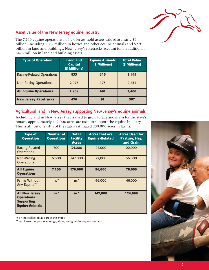

#### Asset value of the New Jersey equine industry

The 7,200 equine operations in New Jersey hold assets valued at nearly \$4 billion, including \$582 million in horses and other equine animals and \$2.9 billion in land and buildings. New Jersey's racetracks account for an additional \$476 million in land and building assets.

| <b>Type of Operation</b>         | <b>Land and</b><br><b>Capital</b><br>(\$ Millions) | <b>Equine Animals</b><br>(\$ Millions) | <b>Total Value</b><br>(\$ Millions) |
|----------------------------------|----------------------------------------------------|----------------------------------------|-------------------------------------|
| <b>Racing-Related Operations</b> | 833                                                | 316                                    | 1,149                               |
| <b>Non-Racing Operations</b>     | 2.076                                              | 175                                    | 2,251                               |
| <b>All Equine Operations</b>     | 2,909                                              | 491                                    | 3,400                               |
| <b>New Jersey Racetracks</b>     | 476                                                | 91                                     | 567                                 |

### Agricultural land in New Jersey supporting New Jersey's equine animals

Including land in New Jersey that is used to grow forage and grain for the state's horses, approximately 142,000 acres are used to support the equine industry. This is almost one-fifth of the state's estimated 790,000 acres in farms.

| <b>Type of</b><br><b>Operation</b>                                                       | <b>Number of</b><br><b>Operations</b> | <b>Total</b><br><b>Facility</b><br><b>Acres</b> | <b>Acres that are</b><br><b>Equine-Related</b> | <b>Acres Used for</b><br>Pasture, Hay,<br>and Grain |
|------------------------------------------------------------------------------------------|---------------------------------------|-------------------------------------------------|------------------------------------------------|-----------------------------------------------------|
| Racing-Related<br><b>Operations</b>                                                      | 700                                   | 34,000                                          | 24,000                                         | 22,000                                              |
| <b>Non-Racing</b><br><b>Operations</b>                                                   | 6,500                                 | 142,000                                         | 72,000                                         | 56,000                                              |
| <b>All Equine</b><br><b>Operations</b>                                                   | 7,200                                 | 176,000                                         | 96,000                                         | 78,000                                              |
| <b>Farms Without</b><br>Any Equine**                                                     | $nc^*$                                | $nc^*$                                          | 46,000                                         | 46,000                                              |
| <b>All New Jersey</b><br><b>Operations</b><br><b>Supporting</b><br><b>Equine Animals</b> | $nc^*$                                | $nc^*$                                          | 142,000                                        | 124,000                                             |

\*nc = not collected as part of this study

\*\* i.e., farms that produce forage, straw, and grain for equine animals

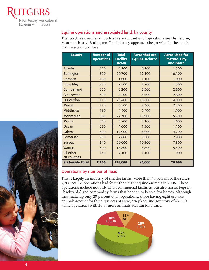

#### Equine operations and associated land, by county

The top three counties in both acres and number of operations are Hunterdon, Monmouth, and Burlington. The industry appears to be growing in the state's northwestern counties.

| <b>County</b>                   | <b>Number of</b><br><b>Operations</b> | <b>Total</b><br><b>Facility</b><br><b>Acres</b> | <b>Acres that are</b><br><b>Equine-Related</b> | <b>Acres Used for</b><br>Pasture, Hay,<br>and Grain |
|---------------------------------|---------------------------------------|-------------------------------------------------|------------------------------------------------|-----------------------------------------------------|
| <b>Atlantic</b>                 | 270                                   | 3,100                                           | 2,100                                          | 1,500                                               |
| <b>Burlington</b>               | 850                                   | 20,700                                          | 12,100                                         | 10,100                                              |
| Camden                          | 160                                   | 1,600                                           | 1,100                                          | 1,000                                               |
| <b>Cape May</b>                 | 230                                   | 2,500                                           | 1,700                                          | 1,300                                               |
| Cumberland                      | 270                                   | 8,200                                           | 3,300                                          | 2,800                                               |
| <b>Gloucester</b>               | 490                                   | 6,200                                           | 3,600                                          | 2,800                                               |
| Hunterdon                       | 1,110                                 | 29,400                                          | 16,600                                         | 14,000                                              |
| <b>Mercer</b>                   | 110                                   | 3,500                                           | 2,300                                          | 2,100                                               |
| <b>Middlesex</b>                | 160                                   | 4,200                                           | 2,400                                          | 1,900                                               |
| Monmouth                        | 960                                   | 27,300                                          | 19,900                                         | 15,700                                              |
| <b>Morris</b>                   | 260                                   | 3,700                                           | 2,100                                          | 1,600                                               |
| Ocean                           | 290                                   | 4,000                                           | 1,500                                          | 1,100                                               |
| Salem                           | 500                                   | 12,900                                          | 5,600                                          | 4,700                                               |
| <b>Somerset</b>                 | 250                                   | 7,600                                           | 3,500                                          | 2,900                                               |
| <b>Sussex</b>                   | 640                                   | 20,000                                          | 10,300                                         | 7,800                                               |
| <b>Warren</b>                   | 500                                   | 18,800                                          | 6,800                                          | 5,300                                               |
| All other<br><b>NJ</b> counties | 150                                   | 2,100                                           | 1,100                                          | 900                                                 |
| <b>Statewide Total</b>          | 7,200                                 | 176,000                                         | 96,000                                         | 78,000                                              |

#### Operations by number of head

This is largely an industry of smaller farms. More than 70 percent of the state's 7,200 equine operations had fewer than eight equine animals in 2006. These operations include not only small commercial facilities, but also horses kept in "backyards" and commodity farms that happen to keep a few horses. Although they make up only 29 percent of all operations, those having eight or more animals account for three-quarters of New Jersey's equine inventory of 42,500, while operations with 20 or more animals account for a third.



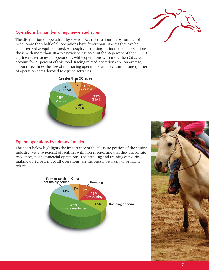

#### Operations by number of equine-related acres

The distribution of operations by size follows the distribution by number of head. More than half of all operations have fewer than 10 acres that can be characterized as equine-related. Although constituting a minority of all operations, those with more than 10 acres nevertheless account for 86 percent of the 96,000 equine-related acres on operations, while operations with more then 20 acres account for 71 percent of this total. Racing-related operations are, on average, about three times the size of non-racing operations, and account for one-quarter of operation acres devoted to equine activities.



#### Equine operations by primary function

The chart below highlights the importance of the pleasure portion of the equine industry, with 46 percent of facilities with horses reporting that they are private residences, not commercial operations. The breeding and training categories, making up 22 percent of all operations, are the ones most likely to be racingrelated.



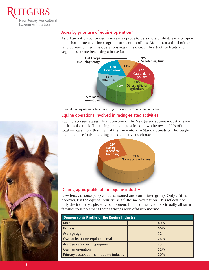

#### Acres by prior use of equine operation\*

As urbanization continues, horses may prove to be a more profitable use of open land than more traditional agricultural commodities. More than a third of the land currently in equine operations was in field crops, livestock, or fruits and vegetables before becoming a horse farm.



#### Equine operations involved in racing-related activities

Racing represents a significant portion of the New Jersey equine industry, even far from the track. The racing-related operations shown below — 29% of the total — have more than half of their inventory in Standardbreds or Thoroughbreds that are foals, breeding stock, or active racehorses.



New Jersey's horse people are a seasoned and committed group. Only a fifth, however, list the equine industry as a full-time occupation. This reflects not only the industry's pleasure component, but also the need for virtually all farm families to supplement their earnings with off-farm income.

| <b>Demographic Profile of the Equine Industry</b> |     |  |
|---------------------------------------------------|-----|--|
| Male                                              | 40% |  |
| Female                                            | 60% |  |
| Average age                                       | 52  |  |
| Own at least one equine animal                    | 76% |  |
| Average years owning equine                       | 23  |  |
| Own an operation                                  | 52% |  |
| Primary occupation is in equine industry          | 20% |  |

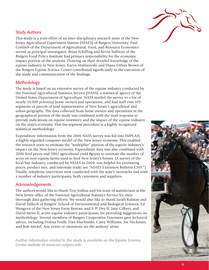

#### Study Authors

This study is a joint effort of an inter-disciplinary research team of the New Jersey Agricultural Experiment Station (NJAES) of Rutgers University. Paul Gottlieb of the Department of Agricultural, Food, and Resource Economics served as principal investigator. Brian Schilling and Kevin Sullivan of the Rutgers Food Policy Institute had primary responsibility for the economic impact portion of the analysis. Drawing on their detailed knowledge of the equine industry in New Jersey, Karyn Malinowski and Diana Orban Brown of the Rutgers Equine Science Center contributed significantly to the execution of the study and communication of the findings.

#### Methodology

The study is based on an extensive survey of the equine industry conducted by the National Agricultural Statistics Service (NASS), a statistical agency of the United States Department of Agriculture. NASS mailed the survey to a list of nearly 10,000 potential horse owners and operations, and had staff visit 103 segments or parcels of land representative of New Jersey's agricultural and urban geography. The data collected from horse owners and operations in the geographical portion of the study was combined with the mail response to provide indications on equine inventory and the impact of the equine industry on the state's economy. This list-segment procedure is a highly recognized statistical methodology.

Expenditure information from the 2006 NASS survey was fed into IMPLAN, a highly-regarded computer model of the New Jersey economy. This enabled the research team to estimate the "multiplier" portion of the equine industry's impact on the New Jersey economy. Expenditure data was also combined with 2006 feed prices and 2002 agricultural yield figures to estimate the number of acres on non-equine farms used to feed New Jersey's horses. (A survey of the local hay industry, conducted by NJAES in 2004, was helpful for estimating prices, product mix, and interstate trade; see "NJAES Extension Bulletin E305.") Finally, telephone interviews were conducted with the state's racetracks and with a number of industry participants, both customers and suppliers.

#### Acknowledgements

The authors would like to thank Troy Joshua and his team of statisticians at the New Jersey office of the National Agricultural Statistics Service for their thorough data-gathering efforts. We would also like to thank Sarah Ralston and David Tulloch of Rutgers' School of Environmental and Biological Sciences; Ed Wengryn of the New Jersey Farm Bureau; and S. P. Dey II, Jane Gilbert, and David Meirs II, active equine industry participants, for providing suggestions on methodology. Several members of Rutgers Cooperative Extension gave technical advice, including Donna Foulk, Dan Kluchinski, Carey Williams, Joe Heckman, and Bob Mickel. Any errors or omissions are the authors' alone.

*Further information related to the study is available on the Equine Science Center website at www.esc.rutgers.edu*